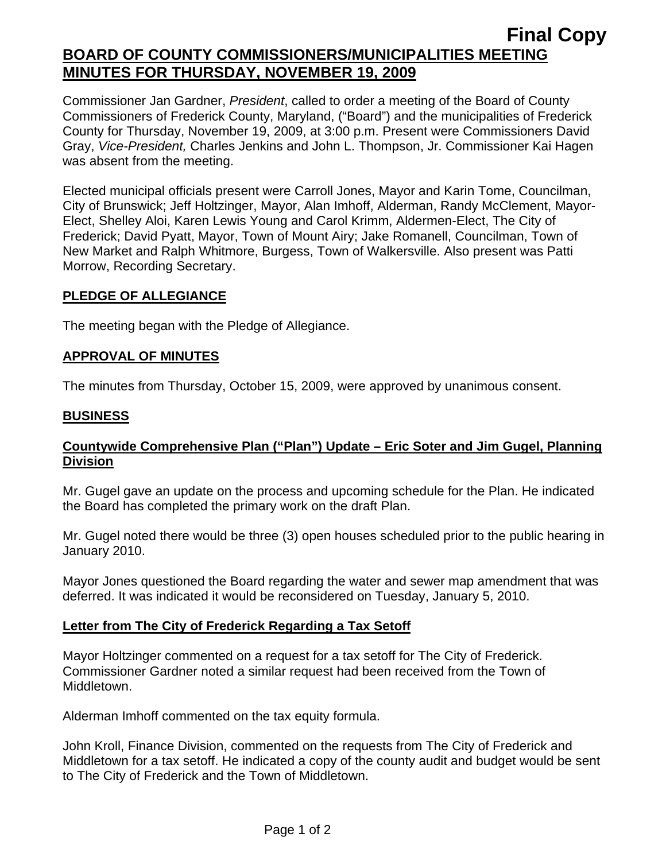# **Final Copy BOARD OF COUNTY COMMISSIONERS/MUNICIPALITIES MEETING MINUTES FOR THURSDAY, NOVEMBER 19, 2009**

Commissioner Jan Gardner, *President*, called to order a meeting of the Board of County Commissioners of Frederick County, Maryland, ("Board") and the municipalities of Frederick County for Thursday, November 19, 2009, at 3:00 p.m. Present were Commissioners David Gray, *Vice-President,* Charles Jenkins and John L. Thompson, Jr. Commissioner Kai Hagen was absent from the meeting.

Elected municipal officials present were Carroll Jones, Mayor and Karin Tome, Councilman, City of Brunswick; Jeff Holtzinger, Mayor, Alan Imhoff, Alderman, Randy McClement, Mayor-Elect, Shelley Aloi, Karen Lewis Young and Carol Krimm, Aldermen-Elect, The City of Frederick; David Pyatt, Mayor, Town of Mount Airy; Jake Romanell, Councilman, Town of New Market and Ralph Whitmore, Burgess, Town of Walkersville. Also present was Patti Morrow, Recording Secretary.

#### **PLEDGE OF ALLEGIANCE**

The meeting began with the Pledge of Allegiance.

## **APPROVAL OF MINUTES**

The minutes from Thursday, October 15, 2009, were approved by unanimous consent.

#### **BUSINESS**

## **Countywide Comprehensive Plan ("Plan") Update – Eric Soter and Jim Gugel, Planning Division**

Mr. Gugel gave an update on the process and upcoming schedule for the Plan. He indicated the Board has completed the primary work on the draft Plan.

Mr. Gugel noted there would be three (3) open houses scheduled prior to the public hearing in January 2010.

Mayor Jones questioned the Board regarding the water and sewer map amendment that was deferred. It was indicated it would be reconsidered on Tuesday, January 5, 2010.

## **Letter from The City of Frederick Regarding a Tax Setoff**

Mayor Holtzinger commented on a request for a tax setoff for The City of Frederick. Commissioner Gardner noted a similar request had been received from the Town of Middletown.

Alderman Imhoff commented on the tax equity formula.

John Kroll, Finance Division, commented on the requests from The City of Frederick and Middletown for a tax setoff. He indicated a copy of the county audit and budget would be sent to The City of Frederick and the Town of Middletown.